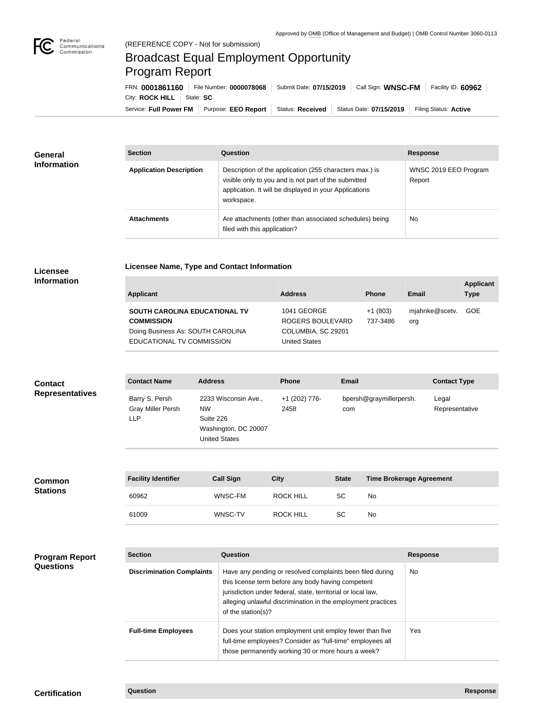

## Broadcast Equal Employment Opportunity Program Report

**Licensee Name, Type and Contact Information**

Service: Full Power FM Purpose: EEO Report | Status: Received | Status Date: 07/15/2019 | Filing Status: Active City: **ROCK HILL** | State: SC FRN: **0001861160** File Number: **0000078068** Submit Date: **07/15/2019** Call Sign: **WNSC-FM** Facility ID: **60962**

| <b>General</b><br><b>Information</b> | <b>Section</b>                 | Question                                                                                                                                                                                | <b>Response</b>                 |
|--------------------------------------|--------------------------------|-----------------------------------------------------------------------------------------------------------------------------------------------------------------------------------------|---------------------------------|
|                                      | <b>Application Description</b> | Description of the application (255 characters max.) is<br>visible only to you and is not part of the submitted<br>application. It will be displayed in your Applications<br>workspace. | WNSC 2019 EEO Program<br>Report |
|                                      | <b>Attachments</b>             | Are attachments (other than associated schedules) being<br>filed with this application?                                                                                                 | <b>No</b>                       |

## **Licensee Information**

| <b>Applicant</b>                                                                                                     | <b>Address</b>                                                                | <b>Phone</b>          | Email                 | <b>Applicant</b><br><b>Type</b> |
|----------------------------------------------------------------------------------------------------------------------|-------------------------------------------------------------------------------|-----------------------|-----------------------|---------------------------------|
| SOUTH CAROLINA EDUCATIONAL TV<br><b>COMMISSION</b><br>Doing Business As: SOUTH CAROLINA<br>EDUCATIONAL TV COMMISSION | 1041 GEORGE<br>ROGERS BOULEVARD<br>COLUMBIA, SC 29201<br><b>United States</b> | $+1(803)$<br>737-3486 | mjahnke@scetv.<br>org | <b>GOE</b>                      |

| <b>Contact</b>         | <b>Contact Name</b>                                      | <b>Address</b>                                                                                 | <b>Phone</b>          | <b>Email</b>                   | <b>Contact Type</b>     |
|------------------------|----------------------------------------------------------|------------------------------------------------------------------------------------------------|-----------------------|--------------------------------|-------------------------|
| <b>Representatives</b> | Barry S. Persh<br><b>Gray Miller Persh</b><br><b>LLP</b> | 2233 Wisconsin Ave.,<br><b>NW</b><br>Suite 226<br>Washington, DC 20007<br><b>United States</b> | +1 (202) 776-<br>2458 | bpersh@graymillerpersh.<br>com | Legal<br>Representative |

| Common<br><b>Stations</b> | <b>Facility Identifier</b> | <b>Call Sign</b> | City             | <b>State</b> | <b>Time Brokerage Agreement</b> |
|---------------------------|----------------------------|------------------|------------------|--------------|---------------------------------|
|                           | 60962                      | WNSC-FM          | <b>ROCK HILL</b> | SC           | No                              |
|                           | 61009                      | WNSC-TV          | <b>ROCK HILL</b> | <b>SC</b>    | No                              |

| <b>Program Report</b> |
|-----------------------|
| <b>Questions</b>      |

| <b>Section</b>                   | Question                                                                                                                                                                                                                                                              | <b>Response</b> |
|----------------------------------|-----------------------------------------------------------------------------------------------------------------------------------------------------------------------------------------------------------------------------------------------------------------------|-----------------|
| <b>Discrimination Complaints</b> | Have any pending or resolved complaints been filed during<br>this license term before any body having competent<br>jurisdiction under federal, state, territorial or local law,<br>alleging unlawful discrimination in the employment practices<br>of the station(s)? | No.             |
| <b>Full-time Employees</b>       | Does your station employment unit employ fewer than five<br>full-time employees? Consider as "full-time" employees all<br>those permanently working 30 or more hours a week?                                                                                          | Yes             |